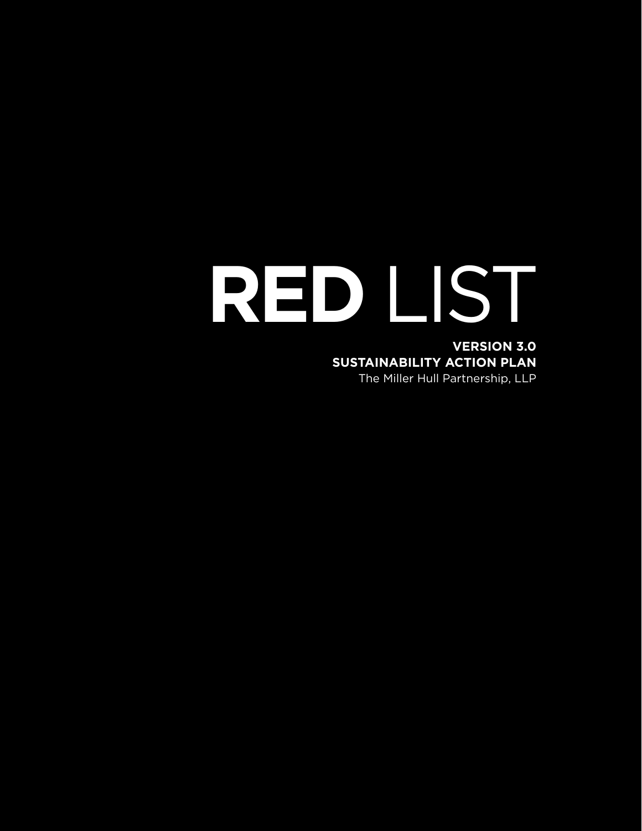# **RED** LIST **VERSION 3.0 SUSTAINABILITY ACTION PLAN** The Miller Hull Partnership, LLP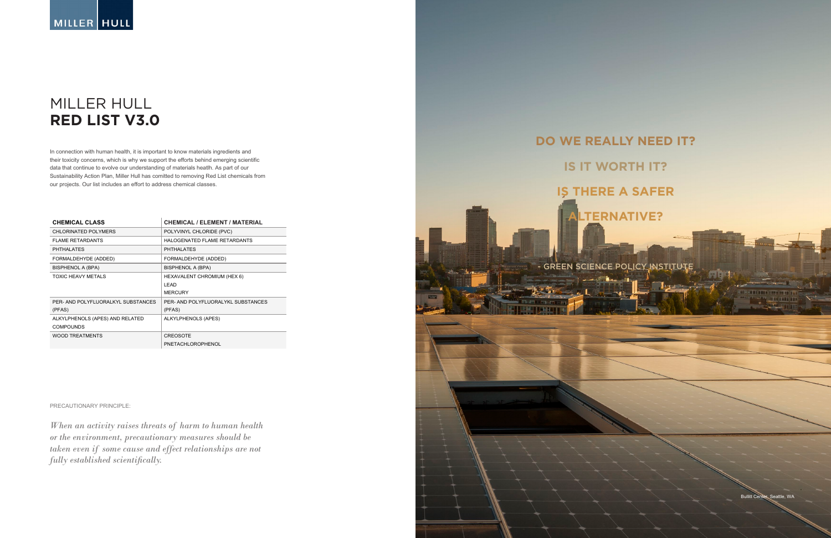## MILLER HULL **RED LIST V3.0**

Bullitt Center, Seattle, WA



# **IS IT WORTH IT? IS THERE A SAFER ALTERNATIVE?**

GREEN SCIENCE POLICY INSTITUTE

PRECAUTIONARY PRINCIPLE:

*When an activity raises threats of harm to human health or the environment, precautionary measures should be taken even if some cause and effect relationships are not fully established scientifically.* 

| <b>CHEMICAL CLASS</b>              | <b>CHEMICAL / ELEMENT / MATERIAL</b> |
|------------------------------------|--------------------------------------|
| CHLORINATED POLYMERS               | POLYVINYL CHLORIDE (PVC)             |
| <b>FLAME RETARDANTS</b>            | HALOGENATED FLAME RETARDANTS         |
| <b>PHTHALATES</b>                  | <b>PHTHALATES</b>                    |
| FORMALDEHYDE (ADDED)               | FORMALDEHYDE (ADDED)                 |
| BISPHENOL A (BPA)                  | <b>BISPHENOL A (BPA)</b>             |
| TOXIC HEAVY METALS                 | <b>HEXAVALENT CHROMIUM (HEX 6)</b>   |
|                                    | LEAD                                 |
|                                    | <b>MERCURY</b>                       |
| PER- AND POLYFLUORALKYL SUBSTANCES | PER- AND POLYFLUORALYKL SUBSTANCES   |
| (PFAS)                             | (PFAS)                               |
| ALKYLPHENOLS (APES) AND RELATED    | ALKYLPHENOLS (APES)                  |
| <b>COMPOUNDS</b>                   |                                      |
| <b>WOOD TREATMENTS</b>             | <b>CREOSOTE</b>                      |
|                                    | PNETACHLOROPHENOL                    |

In connection with human health, it is important to know materials ingredients and their toxicity concerns, which is why we support the efforts behind emerging scientific data that continue to evolve our understanding of materials heatlh. As part of our Sustainability Action Plan, Miller Hull has comitted to removing Red List chemicals from our projects. Our list includes an effort to address chemical classes.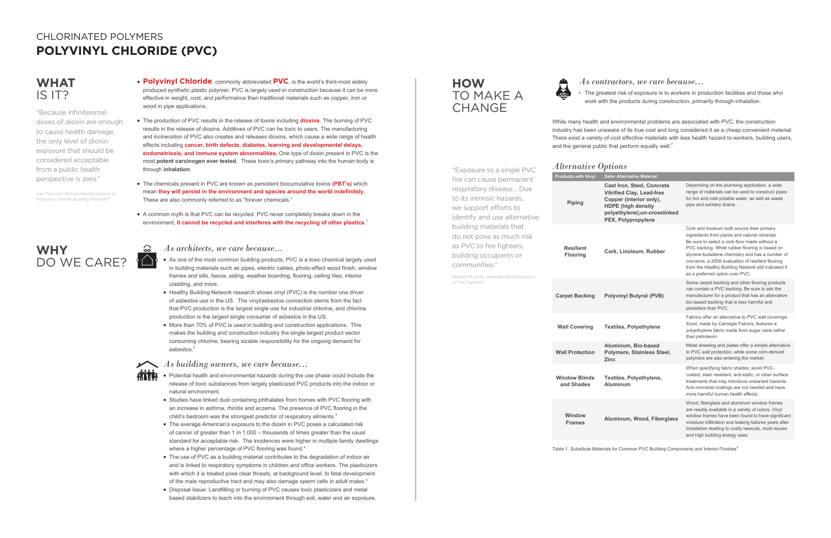- **WHAT Polyvinyl Chloride**, commonly abbreviated **PVC**, is the world's third-most widely **HOW** *As contractors, we care because...* produced synthetic plastic polymer. PVC is largely used in construction because it can be more effective in weight, cost, and performance than traditional materials such as copper, iron or wood in pipe applications.
	- The production of PVC results in the release of toxins including **dioxins**. The burning of PVC results in the release of dioxins. Additives of PVC can be toxic to users. The manufacturing and incineration of PVC also creates and releases dioxins, which cause a wide range of health effects including **cancer, birth defects, diabetes, learning and developmental delays, endometriosis, and immune system abnormalities.** One type of dioxin present in PVC is the most **potent carcinogen ever tested**. These toxin's primary pathway into the human body is through **inhalation**.
	- The chemicals present in PVC are known as persistent biocumulative toxins **(PBT's)** which mean **they will persist in the environment and species around the world indefinitely.** These are also commonly referred to as "forever chemicals."
	- A common myth is that PVC can be recycled. PVC never completely breaks down in the environment, **it cannot be recycled and interferes with the recycling of other plastics**. 1

- As one of the most common building products, PVC is a toxic chemical largely used in building materials such as pipes, electric cables, photo-effect wood finish, window frames and sills, fascia, siding, weather boarding, flooring, ceiling tiles, interior cladding, and more.
- Healthy Building Network research shows vinyl (PVC) is the number one driver of asbestos use in the US. The vinyl/asbestos connection stems from the fact that PVC production is the largest single use for industrial chlorine, and chlorine production is the largest single consumer of asbestos in the US.
- More than 70% of PVC is used in building and construction applications. This makes the building and construction industry the single largest product sector consuming chlorine, bearing sizable responsibility for the ongoing demand for asbestos.<sup>2</sup>



While many health and environmental problems are associated with PVC, the construction industry has been unaware of its true cost and long considered it as a cheap convenient material. There exist a variety of cost effective materials with less health hazard to workers, building users, and the general public that perform equally well.<sup>7</sup>

- Potential health and environmental hazards during the use phase could include the release of toxic substances from largely plasticized PVC products into the indoor or natural environment.
- Studies have linked dust containing phthalates from homes with PVC flooring with an increase in asthma, rhinitis and eczema. The presence of PVC flooring in the child's bedroom was the strongest predictor of respiratory ailments.<sup>3</sup>
- The average American's exposure to the dioxin in PVC poses a calculated risk of cancer of greater than 1 in 1,000 – thousands of times greater than the usual standard for acceptable risk. The incidences were higher in multiple family dwellings where a higher percentage of PVC flooring was found.<sup>4</sup>
- The use of PVC as a building material contributes to the degradation of indoor air and is linked to respiratory symptoms in children and office workers. The plasticizers with which it is treated pose clear threats, at background level, to fetal development of the male reproductive tract and may also damage sperm cells in adult males.<sup>5</sup>
- Disposal Issue: Landfilling or burning of PVC causes toxic plasticizers and metal based stabilizers to leach into the environment through soil, water and air exposure.

### **WHY**  DO WE CARE?

**HOW**  TO MAKE A **CHANGE** 

• The greatest risk of exposure is to workers in production facilities and those who work with the products during construction, primarily through inhalation.

| "Exposure to a single PVC                                                                                                                                                                                                                                                                                                 | <i>Alternative Options</i>          |                                                                                                                                                                                      |                                                                                                                                                                                                                                                                                                                                                                                                    |  |
|---------------------------------------------------------------------------------------------------------------------------------------------------------------------------------------------------------------------------------------------------------------------------------------------------------------------------|-------------------------------------|--------------------------------------------------------------------------------------------------------------------------------------------------------------------------------------|----------------------------------------------------------------------------------------------------------------------------------------------------------------------------------------------------------------------------------------------------------------------------------------------------------------------------------------------------------------------------------------------------|--|
| fire can cause permanent                                                                                                                                                                                                                                                                                                  | <b>Products with Vinyl</b>          | <b>Safer Alternative Material</b>                                                                                                                                                    |                                                                                                                                                                                                                                                                                                                                                                                                    |  |
| respiratory disease Due<br>to its intrinsic hazards,<br>we support efforts to<br>identify and use alternative<br>building materials that<br>do not pose as much risk<br>as PVC to fire fighters,<br>building occupants or<br>communities."<br>Richard M Duffy, International Association<br>of Fire Fighters <sup>6</sup> | Piping                              | <b>Cast Iron, Steel, Concrete</b><br><b>Vitrified Clay, Lead-free</b><br>Copper (interior only),<br><b>HDPE</b> (high density<br>polyethylene), un-crosslinked<br>PEX, Polypropylene | Depending on the plumbing application, a wide<br>range of materials can be used to construct pipes<br>for hot and cold potable water, as well as waste<br>pipe and sanitary drains.                                                                                                                                                                                                                |  |
|                                                                                                                                                                                                                                                                                                                           | <b>Resilient</b><br><b>Flooring</b> | Cork, Linoleum, Rubber                                                                                                                                                               | Cork and linoleum both source their primary<br>ingredients from plants and natural minerals.<br>Be sure to select a cork floor made without a<br>PVC backing. While rubber flooring is based on<br>styrene-butadiene chemistry and has a number of<br>concerns, a 2009 evaluation of resilient flooring<br>from the Healthy Building Network still indicated it<br>as a preferred option over PVC. |  |
|                                                                                                                                                                                                                                                                                                                           | <b>Carpet Backing</b>               | <b>Polyvinyl Butyral (PVB)</b>                                                                                                                                                       | Some carpet backing and other flooring products<br>can contain a PVC backing. Be sure to ask the<br>manufacturer for a product that has an alternative<br>bio-based backing that is less harmful and<br>persistent than PVC.                                                                                                                                                                       |  |
|                                                                                                                                                                                                                                                                                                                           | <b>Wall Covering</b>                | <b>Textiles, Polyethylene</b>                                                                                                                                                        | Fabrics offer an alternative to PVC wall coverings.<br>Xorel, made by Carnegie Fabrics, features a<br>polyethylene fabric made from sugar cane rather<br>than petroleum.                                                                                                                                                                                                                           |  |
|                                                                                                                                                                                                                                                                                                                           | <b>Wall Protection</b>              | Aluminum, Bio-based<br>Polymers, Stainless Steel,<br><b>Zinc</b>                                                                                                                     | Metal sheeting and plates offer a simple alternative<br>to PVC wall protection, while some corn-derived<br>polymers are also entering the market.                                                                                                                                                                                                                                                  |  |
|                                                                                                                                                                                                                                                                                                                           | <b>Window Blinds</b><br>and Shades  | Textiles, Polyethylene,<br>Aluminum                                                                                                                                                  | When specifying fabric shades, avoid PVC-<br>coated, stain resistant, anti-static, or other surface<br>treatments that may introduce unwanted hazards.<br>Anti-microbial coatings are not needed and have<br>more harmful human health effects.                                                                                                                                                    |  |
|                                                                                                                                                                                                                                                                                                                           | Window<br><b>Frames</b>             | Aluminum, Wood, Fiberglass                                                                                                                                                           | Wood, fiberglass and aluminum window frames<br>are readily available in a variety of colors. Vinyl<br>window frames have been found to have significant<br>moisture infiltration and leaking failures years after<br>installation leading to costly lawsuits, mold issues<br>and high building energy uses.                                                                                        |  |

Table 1. Substitute Materials for Common PVC Building Components and Interior Finishes<sup>8</sup>

*As architects, we care because...*

*As building owners, we care because...*

# IS IT?

"Because infinitesimal doses of dioxin are enough to cause health damage, the only level of dioxin exposure that should be considered acceptable from a public health perspective is zero."

*Joe Thornton, Environmental Impacts of Polyvinyl Chloride Building Materials15*

### CHLORINATED POLYMERS **POLYVINYL CHLORIDE (PVC)**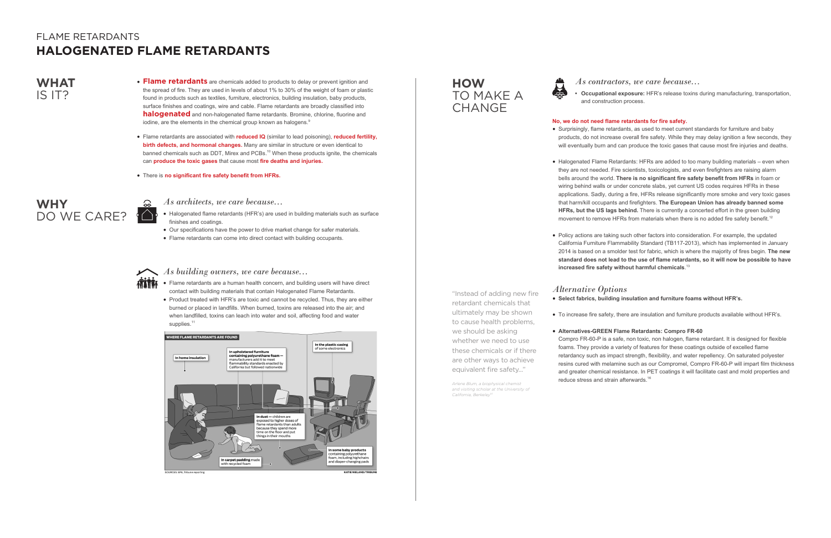- **WHAT**  $\bullet$  **Flame retardants** are chemicals added to products to delay or prevent ignition and *As contractors, we care because...* the spread of fire. They are used in levels of about 1% to 30% of the weight of foam or plastic found in products such as textiles, furniture, electronics, building insulation, baby products, surface finishes and coatings, wire and cable. Flame retardants are broadly classified into **halogenated** and non-halogenated flame retardants. Bromine, chlorine, fluorine and iodine, are the elements in the chemical group known as halogens.<sup>9</sup>
	- Flame retardants are associated with **reduced IQ** (similar to lead poisoning), **reduced fertility, birth defects, and hormonal changes.** Many are similar in structure or even identical to banned chemicals such as DDT, Mirex and PCBs.<sup>10</sup> When these products ignite, the chemicals can **produce the toxic gases** that cause most **fire deaths and injuries.**
	- There is **no significant fire safety benefit from HFRs.**

- Flame retardants are a human health concern, and building users will have direct contact with building materials that contain Halogenated Flame Retardants.
- Product treated with HFR's are toxic and cannot be recycled. Thus, they are either burned or placed in landfills. When burned, toxins are released into the air; and when landfilled, toxins can leach into water and soil, affecting food and water supplies.<sup>11</sup>



• Halogenated Flame Retardants: HFRs are added to too many building materials – even when they are not needed. Fire scientists, toxicologists, and even firefighters are raising alarm bells around the world. **There is no significant fire safety benefit from HFRs** in foam or wiring behind walls or under concrete slabs, yet current US codes requires HFRs in these applications. Sadly, during a fire, HFRs release significantly more smoke and very toxic gases that harm/kill occupants and firefighters. **The European Union has already banned some HFRs, but the US lags behind.** There is currently a concerted effort in the green building movement to remove HFRs from materials when there is no added fire safety benefit.<sup>12</sup>

**• Occupational exposure:** HFR's release toxins during manufacturing, transportation, and construction process.

Compro FR-60-P is a safe, non toxic, non halogen, flame retardant. It is designed for flexible foams. They provide a variety of features for these coatings outside of excelled flame retardancy such as impact strength, flexibility, and water repellency. On saturated polyester resins cured with melamine such as our Compromel, Compro FR-60-P will impart film thickness and greater chemical resistance. In PET coatings it will facilitate cast and mold properties and reduce stress and strain afterwards.<sup>16</sup>

#### **No, we do not need flame retardants for fire safety.**

- 
- 
- 

• Surprisingly, flame retardants, as used to meet current standards for furniture and baby products, do not increase overall fire safety. While they may delay ignition a few seconds, they will eventually burn and can produce the toxic gases that cause most fire injuries and deaths.

### **WHY**  DO WE CARE?

### **HOW**  TO MAKE A **CHANGE**

- *As architects, we care because...*
- Halogenated flame retardants (HFR's) are used in building materials such as surface finishes and coatings.
- Our specifications have the power to drive market change for safer materials.
- Flame retardants can come into direct contact with building occupants.

• Policy actions are taking such other factors into consideration. For example, the updated California Furniture Flammability Standard (TB117-2013), which has implemented in January 2014 is based on a smolder test for fabric, which is where the majority of fires begin. **The new standard does not lead to the use of flame retardants, so it will now be possible to have increased fire safety without harmful chemicals**. 13

### *Alternative Options* **• Select fabrics, building insulation and furniture foams without HFR's.**

• To increase fire safety, there are insulation and furniture products available without HFR's.

#### **• Alternatives-GREEN Flame Retardants: Compro FR-60**

"Instead of adding new fire retardant chemicals that ultimately may be shown

- 
- to cause health problems,
	-

we should be asking whether we need to use these chemicals or if there are other ways to achieve equivalent fire safety..."

*Arlene Blum, a biophysical chemist and visiting scholar at the University of* 

*California, Berkeley14*

# IS IT?

## FLAME RETARDANTS **HALOGENATED FLAME RETARDANTS**

*As building owners, we care because...*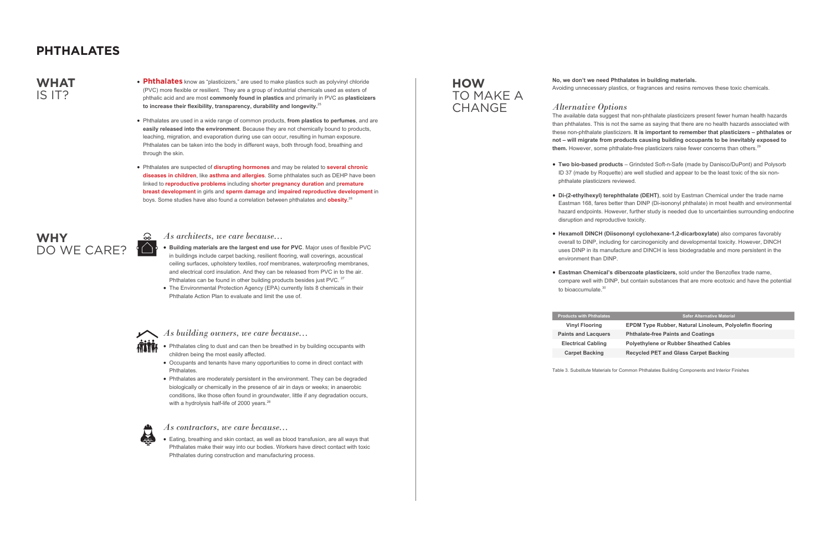- Phthalates know as "plasticizers," are used to make plastics such as polyvinyl chloride (PVC) more flexible or resilient. They are a group of industrial chemicals used as esters of phthalic acid and are most **commonly found in plastics** and primarily in PVC as **plasticizers to increase their flexibility, transparency, durability and longevity.**<sup>25</sup>
- Phthalates are used in a wide range of common products, **from plastics to perfumes**, and are **easily released into the environment**. Because they are not chemically bound to products, leaching, migration, and evaporation during use can occur, resulting in human exposure. Phthalates can be taken into the body in different ways, both through food, breathing and through the skin.
- Phthalates are suspected of **disrupting hormones** and may be related to **several chronic diseases in children**, like **asthma and allergies**. Some phthalates such as DEHP have been linked to **reproductive problems** including **shorter pregnancy duration** and p**remature breast development** in girls and **sperm damage** and **impaired reproductive development** in boys. Some studies have also found a correlation between phthalates and **obesity.**<sup>26</sup>

- Phthalates cling to dust and can then be breathed in by building occupants with children being the most easily affected.
- Occupants and tenants have many opportunities to come in direct contact with Phthalates.
- Phthalates are moderately persistent in the environment. They can be degraded biologically or chemically in the presence of air in days or weeks; in anaerobic conditions, like those often found in groundwater, little if any degradation occurs, with a hydrolysis half-life of 2000 years.<sup>28</sup>



The available data suggest that non-phthalate plasticizers present fewer human health hazards than phthalates. This is not the same as saying that there are no health hazards associated with these non-phthalate plasticizers. **It is important to remember that plasticizers – phthalates or not – will migrate from products causing building occupants to be inevitably exposed to**  them. However, some phthalate-free plasticizers raise fewer concerns than others.<sup>29</sup>

- **• Building materials are the largest end use for PVC**. Major uses of flexible PVC in buildings include carpet backing, resilient flooring, wall coverings, acoustical ceiling surfaces, upholstery textiles, roof membranes, waterproofing membranes, and electrical cord insulation. And they can be released from PVC in to the air. Phthalates can be found in other building products besides just PVC.<sup>27</sup>
- The Environmental Protection Agency (EPA) currently lists 8 chemicals in their Phthalate Action Plan to evaluate and limit the use of.



- phthalate plasticizers reviewed.
- disruption and reproductive toxicity.
- environment than DINP.
- to bioaccumulate.<sup>30</sup>

### **WHY**  DO WE CARE?

### **HOW**  TO MAKE A **CHANGE**

• Eating, breathing and skin contact, as well as blood transfusion, are all ways that Phthalates make their way into our bodies. Workers have direct contact with toxic Phthalates during construction and manufacturing process.

#### **No, we don't we need Phthalates in building materials.**

Avoiding unnecessary plastics, or fragrances and resins removes these toxic chemicals.

#### *Alternative Options*

**• Two bio-based products** – Grindsted Soft-n-Safe (made by Danisco/DuPont) and Polysorb ID 37 (made by Roquette) are well studied and appear to be the least toxic of the six non-

**• Di-(2-ethylhexyl) terephthalate (DEHT)**, sold by Eastman Chemical under the trade name Eastman 168, fares better than DINP (Di-isononyl phthalate) in most health and environmental hazard endpoints. However, further study is needed due to uncertainties surrounding endocrine

**• Hexamoll DINCH (Diisononyl cyclohexane-1,2-dicarboxylate)** also compares favorably overall to DINP, including for carcinogenicity and developmental toxicity. However, DINCH uses DINP in its manufacture and DINCH is less biodegradable and more persistent in the

**• Eastman Chemical's dibenzoate plasticizers,** sold under the Benzoflex trade name, compare well with DINP, but contain substances that are more ecotoxic and have the potential

#### **Products with Phthalates Safer Alternative Material**

**Vinyl Flooring EPDM Type Rubber, Natural Linoleum, Polyolefin flooring Paints and Lacquers Phthalate-free Paints and Coatings Electrical Cabling Polyethylene or Rubber Sheathed Cables Carpet Backing Recycled PET and Glass Carpet Backing**

*As architects, we care because...*

*As building owners, we care because...*

*As contractors, we care because...*

Table 3. Substitute Materials for Common Phthalates Building Components and Interior Finishes

### **WHAT** IS IT?

## **PHTHALATES**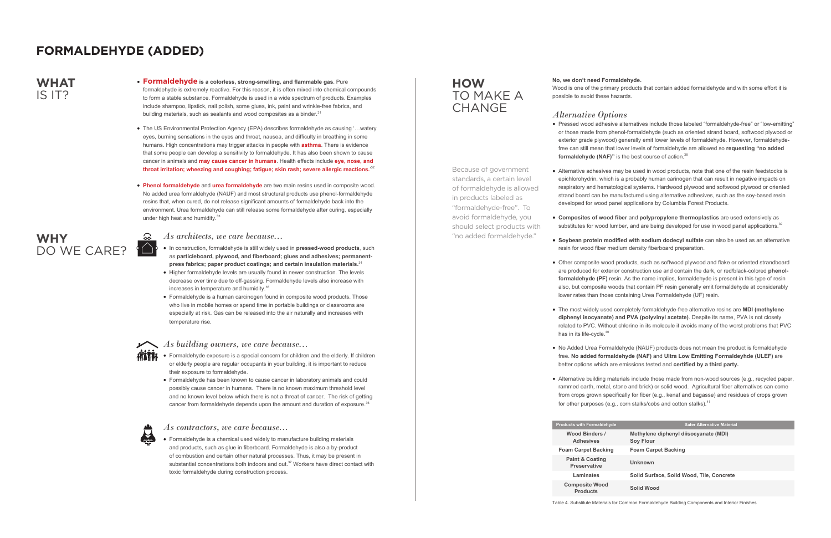• Pressed wood adhesive alternatives include those labeled "formaldehyde-free" or "low-emitting" or those made from phenol-formaldehyde (such as oriented strand board, softwood plywood or exterior grade plywood) generally emit lower levels of formaldehyde. However, formaldehydefree can still mean that lower levels of formaldehyde are allowed so **requesting "no added formaldehyde (NAF)**" is the best course of action.<sup>38</sup>

- In construction, formaldehyde is still widely used in **pressed-wood products**, such as **particleboard, plywood, and fiberboard; glues and adhesives; permanentpress fabrics; paper product coatings; and certain insulation materials.**<sup>34</sup>
- Higher formaldehyde levels are usually found in newer construction. The levels decrease over time due to off-gassing. Formaldehyde levels also increase with increases in temperature and humidity.<sup>35</sup>
- Formaldehyde is a human carcinogen found in composite wood products. Those who live in mobile homes or spend time in portable buildings or classrooms are especially at risk. Gas can be released into the air naturally and increases with temperature rise.



**• Composites of wood fiber** and **polypropylene thermoplastics** are used extensively as substitutes for wood lumber, and are being developed for use in wood panel applications.<sup>39</sup>

• Alternative building materials include those made from non-wood sources (e.g., recycled paper, rammed earth, metal, stone and brick) or solid wood. Agricultural fiber alternatives can come from crops grown specifically for fiber (e.g., kenaf and bagasse) and residues of crops grown for other purposes (e.g., corn stalks/cobs and cotton stalks). $41$ 

• Formaldehyde is a chemical used widely to manufacture building materials and products, such as glue in fiberboard. Formaldehyde is also a by-product of combustion and certain other natural processes. Thus, it may be present in substantial concentrations both indoors and out. $37$  Workers have direct contact with toxic formaldehyde during construction process.

**Products with Formaldeh Wood Binders / Adhesives**

**Foam Carpet Backing Foam Carpet Backing Paint & Coating Preservative** 

Laminates

**Composite Wood Products** 

Wood is one of the primary products that contain added formaldehyde and with some effort it is

### **No, we don't need Formaldehyde.** possible to avoid these hazards.

### **HOW**  TO MAKE A **CHANGE**

### *Alternative Options*

- 
- 
- 
- 
- 
- has in its life-cycle.<sup>40</sup>
- 
- 

• Alternative adhesives may be used in wood products, note that one of the resin feedstocks is epichlorohydrin, which is a probably human carinogen that can result in negative impacts on respiratory and hematological systems. Hardwood plywood and softwood plywood or oriented strand board can be manufactured using alternative adhesives, such as the soy-based resin developed for wood panel applications by Columbia Forest Products.

**• Soybean protein modified with sodium dodecyl sulfate** can also be used as an alternative resin for wood fiber medium density fiberboard preparation.

• Other composite wood products, such as softwood plywood and flake or oriented strandboard are produced for exterior construction use and contain the dark, or red/black-colored **phenolformaldehyde (PF)** resin. As the name implies, formaldehyde is present in this type of resin also, but composite woods that contain PF resin generally emit formaldehyde at considerably lower rates than those containing Urea Formaldehyde (UF) resin.

• The most widely used completely formaldehyde-free alternative resins are **MDI (methylene diphenyl isocyanate) and PVA (polyvinyl acetate)**. Despite its name, PVA is not closely related to PVC. Without chlorine in its molecule it avoids many of the worst problems that PVC

• No Added Urea Formaldehyde (NAUF) products does not mean the product is formaldehyde free. **No added formaldehyde (NAF)** and **Ultra Low Emitting Formaldeyhde (ULEF)** are better options which are emissions tested and **certified by a third party.** 

| de | <b>Safer Alternative Material</b>                         |
|----|-----------------------------------------------------------|
|    | Methylene diphenyl diisocyanate (MDI)<br><b>Soy Flour</b> |
|    | <b>Foam Carpet Backing</b>                                |
|    | Unknown                                                   |
|    | Solid Surface, Solid Wood, Tile, Concrete                 |
|    | Solid Wood                                                |

### *As architects, we care because...*

#### *As building owners, we care because...*

- **ATTRA** Formaldehyde exposure is a special concern for children and the elderly. If children or elderly people are regular occupants in your building, it is important to reduce their exposure to formaldehyde.
	- Formaldehyde has been known to cause cancer in laboratory animals and could possibly cause cancer in humans. There is no known maximum threshold level and no known level below which there is not a threat of cancer. The risk of getting cancer from formaldehyde depends upon the amount and duration of exposure.<sup>36</sup>



*As contractors, we care because...*

Table 4. Substitute Materials for Common Formaldehyde Building Components and Interior Finishes

### **WHAT** IS IT?

- **Formaldehyde is a colorless, strong-smelling, and flammable gas**. Pure formaldehyde is extremely reactive. For this reason, it is often mixed into chemical compounds to form a stable substance. Formaldehyde is used in a wide spectrum of products. Examples include shampoo, lipstick, nail polish, some glues, ink, paint and wrinkle-free fabrics, and building materials, such as sealants and wood composites as a binder. $31$
- The US Environmental Protection Agency (EPA) describes formaldehyde as causing '…watery eyes, burning sensations in the eyes and throat, nausea, and difficulty in breathing in some humans. High concentrations may trigger attacks in people with **asthma**. There is evidence that some people can develop a sensitivity to formaldehyde. It has also been shown to cause cancer in animals and **may cause cancer in humans**. Health effects include **eye, nose, and throat irritation; wheezing and coughing; fatigue; skin rash; severe allergic reactions.**' 32
- **Phenol formaldehyde** and **urea formaldehyde** are two main resins used in composite wood. No added urea formaldehyde (NAUF) and most structural products use phenol-formaldehyde resins that, when cured, do not release significant amounts of formaldehyde back into the environment. Urea formaldehyde can still release some formaldehyde after curing, especially under high heat and humidity. $33$



## **FORMALDEHYDE (ADDED)**

Because of government standards, a certain level of formaldehyde is allowed in products labeled as "formaldehyde-free". To avoid formaldehyde, you should select products with "no added formaldehyde."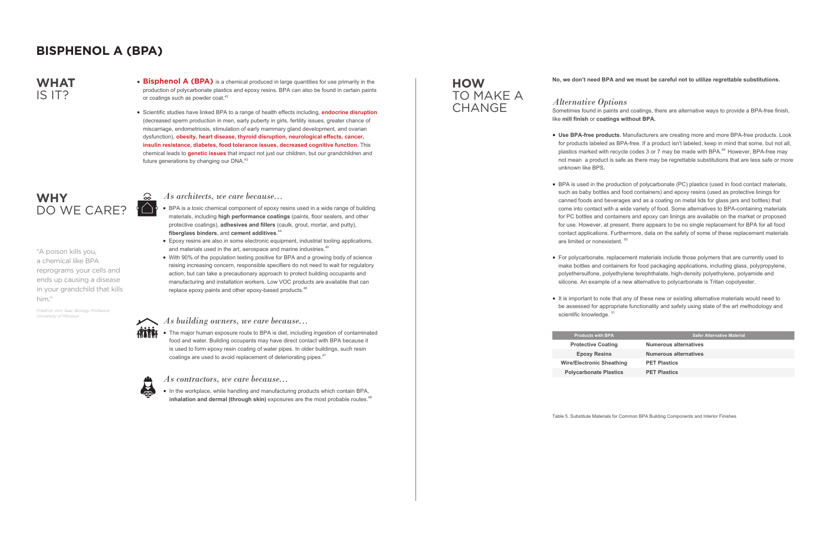- 
- BPA is a toxic chemical component of epoxy resins used in a wide range of building materials, including **high performance coatings** (paints, floor sealers, and other protective coatings), **adhesives and fillers** (caulk, grout, mortar, and putty), **fiberglass binders**, and **cement additives**. 44
- Epoxy resins are also in some electronic equipment, industrial tooling applications, and materials used in the art, aerospace and marine industries.<sup>45</sup>
- With 90% of the population testing positive for BPA and a growing body of science raising increasing concern, responsible specifiers do not need to wait for regulatory action, but can take a precautionary approach to protect building occupants and manufacturing and installation workers. Low VOC products are available that can replace epoxy paints and other epoxy-based products.<sup>46</sup>

#### As *building owners, we care because...*



• The major human exposure route to BPA is diet, including ingestion of contaminated food and water. Building occupants may have direct contact with BPA because it is used to form epoxy resin coating of water pipes. In older buildings, such resin coatings are used to avoid replacement of deteriorating pipes.<sup>47</sup>



• In the workplace, while handling and manufacturing products which contain BPA, inhalation and dermal (through skin) exposures are the most probable routes.<sup>48</sup>

- unknown like BPS.
- are limited or nonexistent.<sup>50</sup>
- 
- scientific knowledge. 51

**Products with BP Protective Coati Epoxy Resins Wire/Electronic She** 

**Polycarbonate Pla** 

#### **No, we don't need BPA and we must be careful not to utilize regrettable substitutions.**

*Alternative Options* Sometimes found in paints and coatings, there are alternative ways to provide a BPA-free finish, like **mill finish** or **coatings without BPA.**

### **WHY**  DO WE CARE?

### **HOW**  TO MAKE A **CHANGE**

**• Use BPA-free products.** Manufacturers are creating more and more BPA-free products. Look for products labeled as BPA-free. If a product isn't labeled, keep in mind that some, but not all, plastics marked with recycle codes 3 or 7 may be made with BPA.<sup>49</sup> However, BPA-free may not mean a product is safe as there may be regrettable substitutions that are less safe or more

• BPA is used in the production of polycarbonate (PC) plastics (used in food contact materials, such as baby bottles and food containers) and epoxy resins (used as protective linings for canned foods and beverages and as a coating on metal lids for glass jars and bottles) that come into contact with a wide variety of food. Some alternatives to BPA-containing materials for PC bottles and containers and epoxy can linings are available on the market or proposed for use. However, at present, there appears to be no single replacement for BPA for all food contact applications. Furthermore, data on the safety of some of these replacement materials

• For polycarbonate, replacement materials include those polymers that are currently used to make bottles and containers for food packaging applications, including glass, polypropylene, polyethersulfone, polyethylene terephthalate, high-density polyethylene, polyamide and silicone. An example of a new alternative to polycarbonate is Tritan copolyester.

• It is important to note that any of these new or existing alternative materials would need to be assessed for appropriate functionality and safety using state of the art methodology and

| A      | <b>Safer Alternative Material</b> |
|--------|-----------------------------------|
| ng     | <b>Numerous alternatives</b>      |
|        | <b>Numerous alternatives</b>      |
| athing | <b>PET Plastics</b>               |
| stics  | <b>PET Plastics</b>               |
|        |                                   |



#### *As contractors, we care because...*

Table 5. Substitute Materials for Common BPA Building Components and Interior Finishes

"A poison kills you, a chemical like BPA reprograms your cells and ends up causing a disease in your grandchild that kills him."

*Fredrick vom Saal, Biology Professor, University of Missouri*

### **WHAT** IS IT?

- **Bisphenol A (BPA)** is a chemical produced in large quantities for use primarily in the production of polycarbonate plastics and epoxy resins. BPA can also be found in certain paints or coatings such as powder coat. $42$
- Scientific studies have linked BPA to a range of health effects including, **endocrine disruption**  (decreased sperm production in men, early puberty in girls, fertility issues, greater chance of miscarriage, endometriosis, stimulation of early mammary gland development, and ovarian dysfunction), **obesity, heart disease, thyroid disruption, neurological effects, cancer, insulin resistance, diabetes, food tolerance issues, decreased cognitive function.** This chemical leads to **genetic issues** that impact not just our children, but our grandchildren and future generations by changing our DNA.<sup>43</sup>

## **BISPHENOL A (BPA)**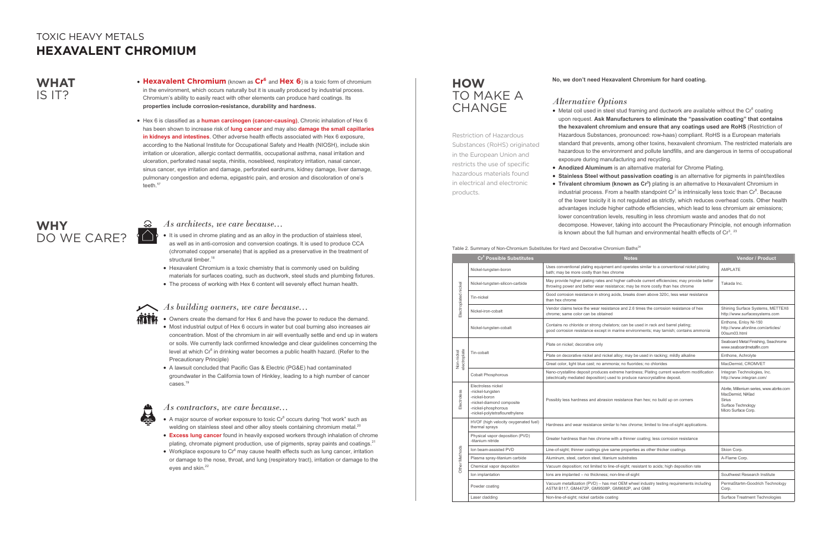- **Hexavalent Chromium** (known as **Cr6** and **Hex 6**) is a toxic form of chromium in the environment, which occurs naturally but it is usually produced by industrial process. Chromium's ability to easily react with other elements can produce hard coatings. Its **properties include corrosion-resistance, durability and hardness.**
- Hex 6 is classified as a **human carcinogen (cancer-causing)**, Chronic inhalation of Hex 6 has been shown to increase risk of **lung cancer** and may also **damage the small capillaries in kidneys and intestines**. Other adverse health effects associated with Hex 6 exposure, according to the National Institute for Occupational Safety and Health (NIOSH), include skin irritation or ulceration, allergic contact dermatitis, occupational asthma, nasal irritation and ulceration, perforated nasal septa, rhinitis, nosebleed, respiratory irritation, nasal cancer, sinus cancer, eye irritation and damage, perforated eardrums, kidney damage, liver damage, pulmonary congestion and edema, epigastric pain, and erosion and discoloration of one's teeth.**<sup>1</sup>**<sup>7</sup>

- Most industrial output of Hex 6 occurs in water but coal burning also increases air concentration. Most of the chromium in air will eventually settle and end up in waters or soils. We currently lack confirmed knowledge and clear guidelines concerning the level at which  $Cr^6$  in drinking water becomes a public health hazard. (Refer to the Precautionary Principle)
- A lawsuit concluded that Pacific Gas & Electric (PG&E) had contaminated groundwater in the California town of Hinkley, leading to a high number of cancer cases.<sup>19</sup>



• Owners create the demand for Hex 6 and have the power to reduce the demand.

 $\bullet$  Metal coil used in steel stud framing and ductwork are available without the Cr $^6$  coating upon request. **Ask Manufacturers to eliminate the "passivation coating" that contains the hexavalent chromium and ensure that any coatings used are RoHS** (Restriction of Hazardous Substances, pronounced: row-haas) compliant. RoHS is a European materials standard that prevents, among other toxins, hexavalent chromium. The restricted materials are hazardous to the environment and pollute landfills, and are dangerous in terms of occupational exposure during manufacturing and recycling.

**• Stainless Steel without passivation coating** is an alternative for pigments in paint/textiles **• Trivalent chromium (known as Cr<sup>3</sup>)** plating is an alternative to Hexavalent Chromium in industrial process. From a health standpoint  $Cr^3$  is intrinsically less toxic than  $Cr^6$ . Because of the lower toxicity it is not regulated as strictly, which reduces overhead costs. Other health advantages include higher cathode efficiencies, which lead to less chromium air emissions; lower concentration levels, resulting in less chromium waste and anodes that do not decompose. However, taking into account the Precautionary Principle, not enough information is known about the full human and environmental health effects of  $Cr<sup>3</sup>$ . <sup>23</sup>

- It is used in chrome plating and as an alloy in the production of stainless steel, as well as in anti-corrosion and conversion coatings. It is used to produce CCA (chromated copper arsenate) that is applied as a preservative in the treatment of structural timber.<sup>18</sup>
- Hexavalent Chromium is a toxic chemistry that is commonly used on building materials for surfaces coating, such as ductwork, steel studs and plumbing fixtures.
- The process of working with Hex 6 content will severely effect human health.



#### **No, we don't need Hexavalent Chromium for hard coating.**

### *Alternative Options*

- 
- -
	-

### Table 2. Summary of Non-Chromium Substitutes for Hard and Decorative Chromium Baths<sup>24</sup>

**• Anodized Aluminum** is an alternative material for Chrome Plating.

### **HOW**  TO MAKE A **CHANGE**

|                            | Cr <sup>6</sup> Possible Substitutes                                                                                                          | <b>Notes</b>                                                                                                                                                                  | <b>Vendor / Product</b>                                                                                                     |
|----------------------------|-----------------------------------------------------------------------------------------------------------------------------------------------|-------------------------------------------------------------------------------------------------------------------------------------------------------------------------------|-----------------------------------------------------------------------------------------------------------------------------|
| Electroplated nickel       | Nickel-tungsten-boron                                                                                                                         | Uses conventional plating equipment and operates similar to a conventional nickel plating<br>bath; may be more costly than hex chrome                                         | <b>AMPLATE</b>                                                                                                              |
|                            | Nickel-tungsten-silicon-carbide                                                                                                               | May provide higher plating rates and higher cathode current efficiencies; may provide better<br>throwing power and better wear resistance; may be more costly than hex chrome | Takada Inc.                                                                                                                 |
|                            | Tin-nickel                                                                                                                                    | Good corrosion resistance in strong acids, breaks down above 320c, less wear resistance<br>than hex chrome                                                                    |                                                                                                                             |
|                            | Nickel-iron-cobalt                                                                                                                            | Vendor claims twice the wear resistance and 2.6 times the corrosion resistance of hex<br>chrome; same color can be obtained                                                   | Shining Surface Systems, METTEX6<br>http://www.surfacesystems.com                                                           |
|                            | Nickel-tungsten-cobalt                                                                                                                        | Contains no chloride or strong chelators; can be used in rack and barrel plating;<br>good corrosion resistance except in marine environments; may tarnish; contains ammonia   | Enthone, Enloy Ni-150<br>http://www.afonline.com/articles/<br>00sum03.html                                                  |
| Non-nickel<br>electroplate | Tin-cobalt                                                                                                                                    | Plate on nickel; decorative only                                                                                                                                              | Seaboard Metal Finishing, Seachrome<br>www.seaboardmetalfin.com                                                             |
|                            |                                                                                                                                               | Plate on decorative nickel and nickel alloy; may be used in racking; mildly alkaline                                                                                          | Enthone, Achrolyte                                                                                                          |
|                            |                                                                                                                                               | Great color, light blue cast; no ammonia; no fluorides; no chlorides                                                                                                          | MacDermid, CROMVET                                                                                                          |
|                            | <b>Cobalt Phosphorous</b>                                                                                                                     | Nano-crystalline deposit produces extreme hardness; Plating current waveform modification<br>(electrically mediated deposition) used to produce nanocrystalline deposit.      | Integran Technologies, Inc.<br>http://www.integran.com/                                                                     |
| Electroless                | Electroless nickel<br>-nickel-tungsten<br>-nickel-boron<br>-nickel-diamond composite<br>-nickel-phosphorous<br>-nickel-polytetraflourethylene | Possibly less hardness and abrasion resistance than hex; no build up on corners                                                                                               | Abrite, Millenium series, www.abrite.com<br>MacDermid, NiKlad<br><b>Sirius</b><br>Surface Technology<br>Micro Surface Corp. |
|                            | HVOF (high velocity oxygenated fuel)<br>thermal sprays                                                                                        | Hardness and wear resistance similar to hex chrome; limited to line-of-sight applications.                                                                                    |                                                                                                                             |
|                            | Physical vapor deposition (PVD)<br>-titanium nitride                                                                                          | Greater hardness than hex chrome with a thinner coating; less corrosion resistance                                                                                            |                                                                                                                             |
|                            | Ion beam-assisted PVD                                                                                                                         | Line-of-sight; thinner coatings give same properties as other thicker coatings                                                                                                | Skion Corp.                                                                                                                 |
|                            | Plasma spray-titanium carbide                                                                                                                 | Aluminum, steel, carbon steel, titanium substrates                                                                                                                            | A-Flame Corp.                                                                                                               |
| Other Methods              | Chemical vapor deposition                                                                                                                     | Vacuum deposition; not limited to line-of-sight; resistant to acids; high deposition rate                                                                                     |                                                                                                                             |
|                            | Ion implantation                                                                                                                              | lons are implanted - no thickness; non-line-of-sight                                                                                                                          | Southwest Research Institute                                                                                                |
|                            | Powder coating                                                                                                                                | Vacuum metallization (PVD) - has met OEM wheel industry testing requirements including<br>ASTM B117, GM4472P, GM9508P, GM9682P, and GM6                                       | PermaStartm-Goodrich Technology<br>Corp.                                                                                    |
|                            | Laser cladding                                                                                                                                | Non-line-of-sight; nickel carbide coating                                                                                                                                     | Surface Treatment Technologies                                                                                              |
|                            |                                                                                                                                               |                                                                                                                                                                               |                                                                                                                             |

### *As architects, we care because...*

### *As building owners, we care because...*

#### *As contractors, we care because...*

- $\bullet$  A major source of worker exposure to toxic  $\text{Cr}^6$  occurs during "hot work" such as welding on stainless steel and other alloy steels containing chromium metal.<sup>20</sup>
- **Excess lung cancer** found in heavily exposed workers through inhalation of chrome plating, chromate pigment production, use of pigments, spray paints and coatings.<sup>21</sup>
- $\bullet\,$  Workplace exposure to  $\mathsf{Cr}^{6}$  may cause health effects such as lung cancer, irritation or damage to the nose, throat, and lung (respiratory tract), irritation or damage to the eyes and skin.<sup>22</sup>

### **WHAT** IS IT?

## **WHY**  DO WE CARE?

## TOXIC HEAVY METALS **HEXAVALENT CHROMIUM**

Restriction of Hazardous Substances (RoHS) originated in the European Union and restricts the use of specific hazardous materials found in electrical and electronic

products.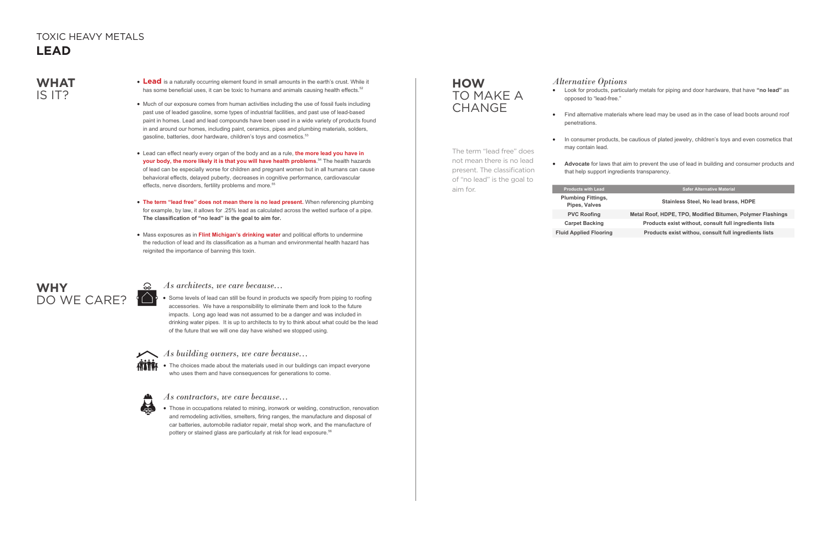- Lead is a naturally occurring element found in small amounts in the earth's crust. While it has some beneficial uses, it can be toxic to humans and animals causing health effects.<sup>52</sup>
- Much of our exposure comes from human activities including the use of fossil fuels including past use of leaded gasoline, some types of industrial facilities, and past use of lead-based paint in homes. Lead and lead compounds have been used in a wide variety of products found in and around our homes, including paint, ceramics, pipes and plumbing materials, solders, gasoline, batteries, door hardware, children's toys and cosmetics.<sup>53</sup>
- Lead can effect nearly every organ of the body and as a rule, **the more lead you have in your body, the more likely it is that you will have health problems**. 54 The health hazards of lead can be especially worse for children and pregnant women but in all humans can cause behavioral effects, delayed puberty, decreases in cognitive performance, cardiovascular effects, nerve disorders, fertility problems and more.<sup>55</sup>
- **The term "lead free" does not mean there is no lead present.** When referencing plumbing for example, by law, it allows for .25% lead as calculated across the wetted surface of a pipe. **The classification of "no lead" is the goal to aim for.**
- Mass exposures as in **Flint Michigan's drinking water** and political efforts to undermine the reduction of lead and its classification as a human and environmental health hazard has reignited the importance of banning this toxin.

• Those in occupations related to mining, ironwork or welding, construction, renovation and remodeling activities, smelters, firing ranges, the manufacture and disposal of car batteries, automobile radiator repair, metal shop work, and the manufacture of pottery or stained glass are particularly at risk for lead exposure.<sup>56</sup>

## **WHY**  DO WE CARE?

### **HOW**  TO MAKE A **CHANGE**

• Some levels of lead can still be found in products we specify from piping to roofing accessories. We have a responsibility to eliminate them and look to the future impacts. Long ago lead was not assumed to be a danger and was included in drinking water pipes. It is up to architects to try to think about what could be the lead of the future that we will one day have wished we stopped using.







### *As architects, we care because...*

#### *As building owners, we care because...*

*As contractors, we care because...*

## *Alternative Options*

• Look for products, particularly metals for piping and door hardware, that have **"no lead"** as

• Find alternative materials where lead may be used as in the case of lead boots around roof

- opposed to "lead-free."
- penetrations.
- may contain lead.
- 

• In consumer products, be cautious of plated jewelry, children's toys and even cosmetics that

**• Advocate** for laws that aim to prevent the use of lead in building and consumer products and that help support ingredients transparency.

#### **Products with Lead Safer Alternative Material**

**Plumbing Fittings,** 

#### **Pipes, Valves Stainless Steel, No lead brass, HDPE**

**PVC Roofing Metal Roof, HDPE, TPO, Modified Bitumen, Polymer Flashings Carpet Backing Products exist without, consult full ingredients lists Fluid Applied Flooring Products exist withou, consult full ingredients lists**

## **WHAT** IS IT?

## TOXIC HEAVY METALS **LEAD**

The term "lead free" does not mean there is no lead present. The classification of "no lead" is the goal to aim for.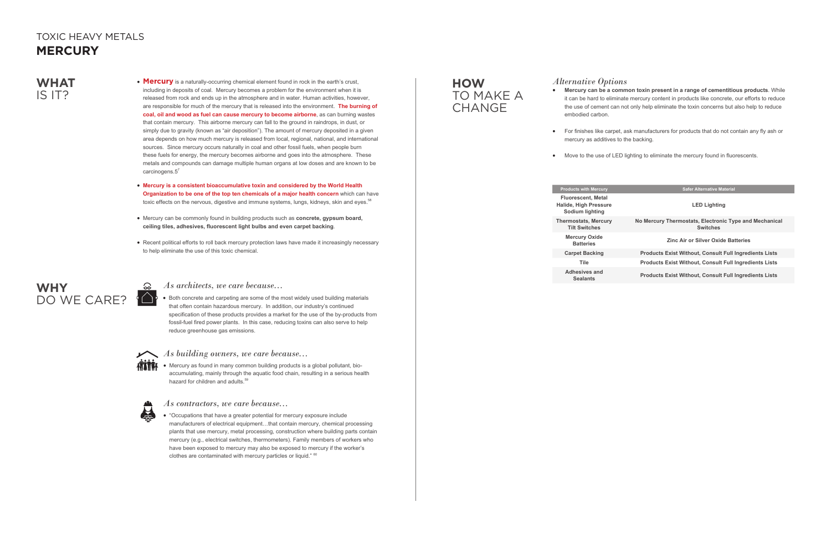• Mercury as found in many common building products is a global pollutant, bioaccumulating, mainly through the aquatic food chain, resulting in a serious health hazard for children and adults.<sup>59</sup>



• "Occupations that have a greater potential for mercury exposure include manufacturers of electrical equipment…that contain mercury, chemical processing plants that use mercury, metal processing, construction where building parts contain mercury (e.g., electrical switches, thermometers). Family members of workers who have been exposed to mercury may also be exposed to mercury if the worker's clothes are contaminated with mercury particles or liquid." 60

- **Mercury is a consistent bioaccumulative toxin and considered by the World Health Organization to be one of the top ten chemicals of a major health concern** which can have toxic effects on the nervous, digestive and immune systems, lungs, kidneys, skin and eyes.<sup>58</sup>
- Mercury can be commonly found in building products such as **concrete, gypsum board, ceiling tiles, adhesives, fluorescent light bulbs and even carpet backing**.
- Recent political efforts to roll back mercury protection laws have made it increasingly necessary to help eliminate the use of this toxic chemical.

• Both concrete and carpeting are some of the most widely used building materials that often contain hazardous mercury. In addition, our industry's continued specification of these products provides a market for the use of the by-products from fossil-fuel fired power plants. In this case, reducing toxins can also serve to help reduce greenhouse gas emissions.



### **HOW**  TO MAKE A **CHANGE**

### *As architects, we care because...*

### *As building owners, we care because...*

*As contractors, we care because...*

### *Alternative Options*

**• Mercury can be a common toxin present in a range of cementitious products**. While it can be hard to eliminate mercury content in products like concrete, our efforts to reduce the use of cement can not only help eliminate the toxin concerns but also help to reduce

• For finishes like carpet, ask manufacturers for products that do not contain any fly ash or

• Move to the use of LED lighting to eliminate the mercury found in fluorescents.

- embodied carbon.
- mercury as additives to the backing.
- 

#### **Products with Mercury**

**Fluorescent, Metal Halide, High Pressure Sodium lighting**

**Thermostats, Mercury Tilt Switches Mercury Oxide** 

**Carpet Backing** 

| <b>cts with Mercury</b>                            | <b>Safer Alternative Material</b>                                         |  |
|----------------------------------------------------|---------------------------------------------------------------------------|--|
| rescent. Metal<br>. High Pressure<br>lium lighting | <b>LED Lighting</b>                                                       |  |
| ostats, Mercury<br>It Switches                     | No Mercury Thermostats, Electronic Type and Mechanical<br><b>Switches</b> |  |
| rcury Oxide<br><b>Batteries</b>                    | <b>Zinc Air or Silver Oxide Batteries</b>                                 |  |
| pet Backing                                        | <b>Products Exist Without, Consult Full Ingredients Lists</b>             |  |
| <b>Tile</b>                                        | <b>Products Exist Without, Consult Full Ingredients Lists</b>             |  |
| hesives and<br><b>Sealants</b>                     | <b>Products Exist Without, Consult Full Ingredients Lists</b>             |  |

**Adhesives and** 

### **WHAT** IS IT?

• **Mercury** is a naturally-occurring chemical element found in rock in the earth's crust, including in deposits of coal. Mercury becomes a problem for the environment when it is released from rock and ends up in the atmosphere and in water. Human activities, however, are responsible for much of the mercury that is released into the environment. **The burning of coal, oil and wood as fuel can cause mercury to become airborne**, as can burning wastes that contain mercury. This airborne mercury can fall to the ground in raindrops, in dust, or simply due to gravity (known as "air deposition"). The amount of mercury deposited in a given area depends on how much mercury is released from local, regional, national, and international sources. Since mercury occurs naturally in coal and other fossil fuels, when people burn these fuels for energy, the mercury becomes airborne and goes into the atmosphere. These metals and compounds can damage multiple human organs at low doses and are known to be carcinogens. $5^7$ 



## TOXIC HEAVY METALS **MERCURY**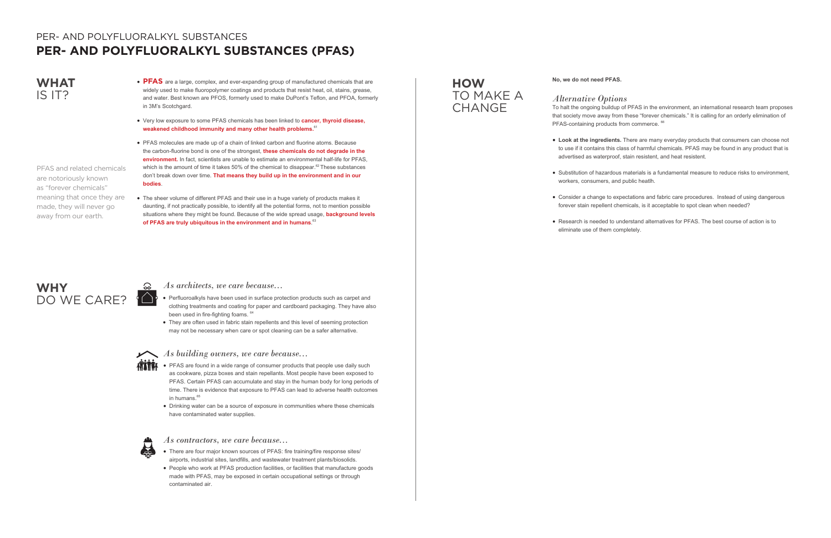- **PFAS** are a large, complex, and ever-expanding group of manufactured chemicals that are widely used to make fluoropolymer coatings and products that resist heat, oil, stains, grease, and water. Best known are PFOS, formerly used to make DuPont's Teflon, and PFOA, formerly in 3M's Scotchgard.
- Very low exposure to some PFAS chemicals has been linked to **cancer, thyroid disease, weakened childhood immunity and many other health problems.**<sup>61</sup>
- PFAS molecules are made up of a chain of linked carbon and fluorine atoms. Because the carbon-fluorine bond is one of the strongest, **these chemicals do not degrade in the environment.** In fact, scientists are unable to estimate an environmental half-life for PFAS, which is the amount of time it takes 50% of the chemical to disappear. $62$  These substances don't break down over time. **That means they build up in the environment and in our bodies**.
- The sheer volume of different PFAS and their use in a huge variety of products makes it daunting, if not practically possible, to identify all the potential forms, not to mention possible situations where they might be found. Because of the wide spread usage, **background levels of PFAS are truly ubiquitous in the environment and in humans**. 63

- $\mathbf{A}$ as cookware, pizza boxes and stain repellants. Most people have been exposed to PFAS. Certain PFAS can accumulate and stay in the human body for long periods of time. There is evidence that exposure to PFAS can lead to adverse health outcomes in humans.<sup>65</sup>
	- Drinking water can be a source of exposure in communities where these chemicals have contaminated water supplies.



*Alternative Options* To halt the ongoing buildup of PFAS in the environment, an international research team proposes that society move away from these "forever chemicals." It is calling for an orderly elimination of PFAS-containing products from commerce. <sup>66</sup>

- Perfluoroalkyls have been used in surface protection products such as carpet and clothing treatments and coating for paper and cardboard packaging. They have also been used in fire-fighting foams. <sup>64</sup>
- They are often used in fabric stain repellents and this level of seeming protection may not be necessary when care or spot cleaning can be a safer alternative.



### **WHY**  DO WE CARE? <sup>(</sup> $\bigcirc$ <sup>'</sup>

## TO MAKE A **CHANGE**

- There are four major known sources of PFAS: fire training/fire response sites/ airports, industrial sites, landfills, and wastewater treatment plants/biosolids.
- People who work at PFAS production facilities, or facilities that manufacture goods made with PFAS, may be exposed in certain occupational settings or through contaminated air.

#### *As architects, we care because...*

### *As building owners, we care because...*

#### *As contractors, we care because...*

#### **No, we do not need PFAS.**

**• Look at the ingredients.** There are many everyday products that consumers can choose not to use if it contains this class of harmful chemicals. PFAS may be found in any product that is advertised as waterproof, stain resistent, and heat resistent.

• Substitution of hazardous materials is a fundamental measure to reduce risks to environment,

• Consider a change to expectations and fabric care procedures. Instead of using dangerous forever stain repellent chemicals, is it acceptable to spot clean when needed?

- 
- workers, consumers, and public heatlh.
- 
- eliminate use of them completely.

• Research is needed to understand alternatives for PFAS. The best course of action is to

## **WHAT** IS IT?

## **HOW**

## PER- AND POLYFLUORALKYL SUBSTANCES **PER- AND POLYFLUORALKYL SUBSTANCES (PFAS)**

PFAS and related chemicals are notoriously known as "forever chemicals" meaning that once they are made, they will never go away from our earth.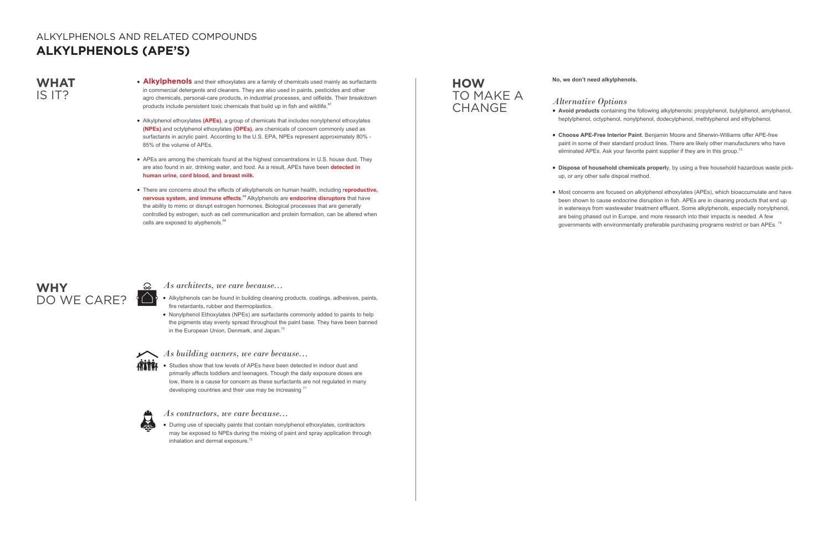- Alkylphenols can be found in building cleaning products, coatings, adhesives, paints, fire retardants, rubber and thermoplastics.
- Nonylphenol Ethoxylates (NPEs) are surfactants commonly added to paints to help the pigments stay evenly spread throughout the paint base. They have been banned in the European Union, Denmark, and Japan.<sup>70</sup>



• Studies show that low levels of APEs have been detected in indoor dust and primarily affects toddlers and teenagers. Though the daily exposure doses are low, there is a cause for concern as these surfactants are not regulated in many developing countries and their use may be increasing 71



• During use of specialty paints that contain nonylphenol ethoxylates, contractors may be exposed to NPEs during the mixing of paint and spray application through inhalation and dermal exposure.<sup>72</sup>

**• Choose APE-Free Interior Paint**. Benjamin Moore and Sherwin-Williams offer APE-free paint in some of their standard product lines. There are likely other manufacturers who have eliminated APEs. Ask your favorite paint supplier if they are in this group.<sup>73</sup>

• Most concerns are focused on alkylphenol ethoxylates (APEs), which bioaccumulate and have been shown to cause endocrine disruption in fish. APEs are in cleaning products that end up in waterways from wastewater treatment effluent. Some alkylphenols, especially nonylphenol, are being phased out in Europe, and more research into their impacts is needed. A few governments with environmentally preferable purchasing programs restrict or ban APEs.<sup>74</sup>

## **WHY**  DO WE CARE? ( $\bigcirc$

### **HOW**  TO MAKE A **CHANGE**

### *As architects, we care because...*

### *As building owners, we care because...*

#### *As contractors, we care because...*

**No, we don't need alkylphenols.**

### *Alternative Options*

**• Avoid products** containing the following alkylphenols: propylphenol, butylphenol, amylphenol, heptylphenol, octyphenol, nonylphenol, dodecylphenol, methlyphenol and ethylphenol.

**• Dispose of household chemicals properl**y, by using a free household hazardous waste pick-

- 
- 
- up, or any other safe dispoal method.
- 

### **WHAT** IS IT?

- **Alkylphenols** and their ethoxylates are a family of chemicals used mainly as surfactants in commercial detergents and cleaners. They are also used in paints, pesticides and other agro chemicals, personal-care products, in industrial processes, and oilfields. Their breakdown products include persistent toxic chemicals that build up in fish and wildlife.<sup>67</sup>
- Alkylphenol ethoxylates **(APEs)**, a group of chemicals that includes nonylphenol ethoxylates **(NPEs)** and octylphenol ethoxylates **(OPEs)**, are chemicals of concern commonly used as surfactants in acrylic paint. According to the U.S. EPA, NPEs represent approximately 80% - 85% of the volume of APEs.
- APEs are among the chemicals found at the highest concentrations in U.S. house dust. They are also found in air, drinking water, and food. As a result, APEs have been **detected in human urine, cord blood, and breast milk.**
- There are concerns about the effects of alkylphenols on human health, including r**eproductive, nervous system, and immune effects**. 68 Alkylphenols are **endocrine disruptors** that have the ability to mimc or disrupt estrogen hormones. Biological processes that are generally controlled by estrogen, such as cell communication and protein formation, can be altered when cells are exposed to alyphenols.<sup>69</sup>

### ALKYLPHENOLS AND RELATED COMPOUNDS **ALKYLPHENOLS (APE'S)**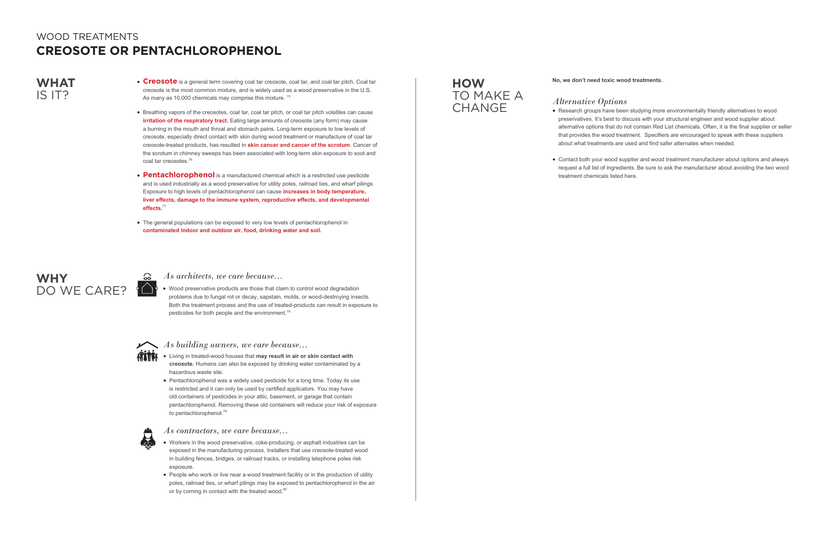- **Creosote** is a general term covering coal tar creosote, coal tar, and coal tar pitch. Coal tar creosote is the most common mixture, and is widely used as a wood preservative in the U.S. As many as 10,000 chemicals may comprise this mixture.<sup>75</sup>
- Breathing vapors of the creosotes, coal tar, coal tar pitch, or coal tar pitch volatiles can cause **irritation of the respiratory tract.** Eating large amounts of creosote (any form) may cause a burning in the mouth and throat and stomach pains. Long-term exposure to low levels of creosote, especially direct contact with skin during wood treatment or manufacture of coal tar creosote-treated products, has resulted in **skin cancer and cancer of the scrotum**. Cancer of the scrotum in chimney sweeps has been associated with long-term skin exposure to soot and coal tar creosotes.<sup>76</sup>
- **Pentachlorophenol** is a manufactured chemical which is a restricted use pesticide and is used industrially as a wood preservative for utility poles, railroad ties, and wharf pilings. Exposure to high levels of pentachlorophenol can cause **increases in body temperature, liver effects, damage to the immune system, reproductive effects, and developmental effects.**<sup>77</sup>
- The general populations can be exposed to very low levels of pentachlorophenol in **contaminated indoor and outdoor air, food, drinking water and soil.**

• Wood preservative products are those that claim to control wood degradation problems due to fungal rot or decay, sapstain, molds, or wood-destroying insects. Both the treatment process and the use of treated-products can result in exposure to pesticides for both people and the environment.<sup>78</sup>



<u> လ</u>

- Workers in the wood preservative, coke-producing, or asphalt industries can be exposed in the manufacturing process. Installers that use creosote-treated wood in building fences, bridges, or railroad tracks, or installing telephone poles risk exposure.
- People who work or live near a wood treatment facility or in the production of utility poles, railroad ties, or wharf pilings may be exposed to pentachlorophenol in the air or by coming in contact with the treated wood.<sup>80</sup>

### **WHY**  DO WE CARE?

### **HOW**  TO MAKE A **CHANGE**

*As architects, we care because...*

*As building owners, we care because...*

- **ATTE:** Living in treated-wood houses that may result in air or skin contact with **creosote.** Humans can also be exposed by drinking water contaminated by a hazardous waste site.
	- Pentachlorophenol was a widely used pesticide for a long time. Today its use is restricted and it can only be used by certified applicators. You may have old containers of pesticides in your attic, basement, or garage that contain pentachlorophenol. Removing these old containers will reduce your risk of exposure to pentachlorophenol.<sup>79</sup>



*As contractors, we care because...*

**No, we don't need toxic wood treatments.**

#### *Alternative Options*

• Research groups have been studying more environmentally friendly alternatives to wood preservatives. It's best to discuss with your structural engineer and wood supplier about alternative options that do not contain Red List chemicals. Often, it is the final supplier or seller that provides the wood treatment. Specifiers are encouraged to speak with these suppliers about what treatments are used and find safer alternates when needed.

• Contact both your wood supplier and wood treatment manufacturer about options and always request a full list of ingredients. Be sure to ask the manufacturer about avoiding the two wood

- 
- treatment chemicals listed here.

### **WHAT** IS IT?

## WOOD TREATMENTS **CREOSOTE OR PENTACHLOROPHENOL**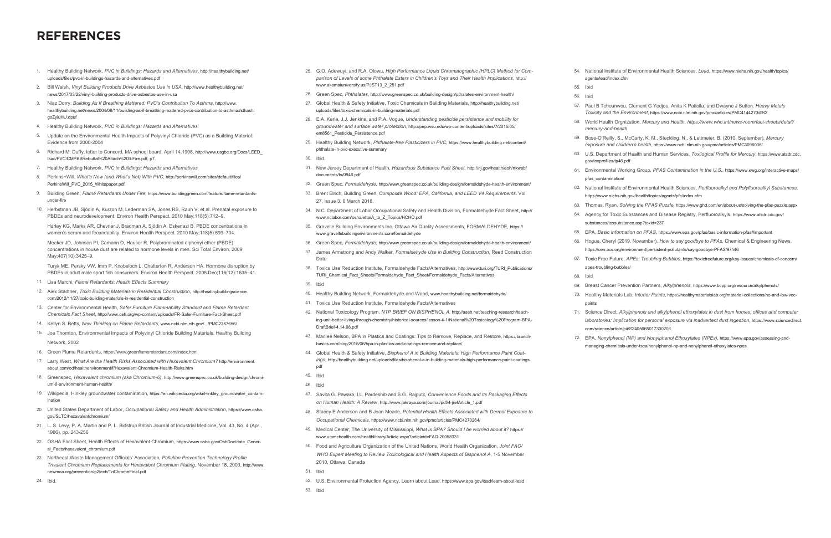- 25. G.O. Adewuyi, and R.A. Olowu, *High Performance Liquid Chromatographic (HPLC) Method for Comparison of Levels of some Phthalate Esters in Children's Toys and Their Health Implications*, http:// www.akamaiuniversity.us/PJST13\_2\_251.pdf
- 26. Green Spec, *Phthalates*, http://www.greenspec.co.uk/building-design/pthalates-environment-health/
- 27. Global Health & Safety Initiative, Toxic Chemicals in Building Materials, http://healthybuilding.net/ uploads/files/toxic-chemicals-in-building-materials.pdf
- 28. E.A. Kerle, J.J. Jenkins, and P.A. Vogue, *Understanding pesticide persistence and mobility for groundwater and surface water protection*, http://pep.wsu.edu/wp-content/uploads/sites/7/2015/05/ em8561\_Pesticide\_Persistence.pdf
- 29. Healthy Building Network, *Phthalate-free Plasticizers in PVC*, https://www.healthybuilding.net/content/ phthalate-in-pvc-executive-summary

#### 30. Ibid.

- 31. New Jersey Department of Health, *Hazardous Substance Fact Sheet,* http://nj.gov/health/eoh/rtkweb/ documents/fs/0946.pdf
- 32. Green Spec, *Formaldehyde*, http://www.greenspec.co.uk/building-design/formaldehyde-health-environment/
- 33. Brent Elrich, Building Green, *Composite Wood: EPA, California, and LEED V4 Requirements*. Vol. 27, Issue 3. 6 March 2018.
- 34. N.C. Department of Labor Occupational Safety and Health Division, Formaldehyde Fact Sheet, http:// www.nclabor.com/osha/etta/A\_to\_Z\_Topics/HCHO.pdf
- 35. Gravelle Building Environments Inc. Ottawa Air Quality Assessments, FORMALDEHYDE, https:// www.gravellebuildingenvironments.com/formaldehyde
- 36. Green Spec, *Formaldehyde*, http://www.greenspec.co.uk/building-design/formaldehyde-health-environment/
- 37. James Armstrong and Andy Walker, *Formaldehyde Use in Building Construction*, Reed Construction Data
- 38. Toxics Use Reduction Institute, Formaldehyde Facts/Alternatives, http://www.turi.org/TURI\_Publications/ TURI\_Chemical\_Fact\_Sheets/Formaldehyde\_Fact\_Sheet/Formaldehyde\_Facts/Alternatives

#### 39. Ibid

- 40. Healthy Building Network, Formaldehyde and Wood, www.healthybuilding.net/formaldehyde/
- 41. Toxics Use Reduction Institute, Formaldehyde Facts/Alternatives
- 42. National Toxicology Program, *NTP BRIEF ON BISPHENOL A*, http://aseh.net/teaching-research/teaching-unit-better-living-through-chemistry/historical-sources/lesson-4-1/National%20Toxicology%20Program-BPA-DraftBrief-4.14.08.pdf
- 43. Marilee Nelson, BPA in Plastics and Coatings: Tips to Remove, Replace, and Restore, https://branchbasics.com/blog/2015/06/bpa-in-plastics-and-coatings-remove-and-replace/
- 44. Global Health & Safety Initiative, *Bisphenol A in Building Materials: High Performance Paint Coatings*, http://healthybuilding.net/uploads/files/bisphenol-a-in-building-materials-high-performance-paint-coatings. pdf
- 45. Ibid

#### 46. Ibid

- 47. Savita G. Pawara, I.L. Pardeshib and S.G. Rajputc, *Convenience Foods and Its Packaging Effects on Human Health: A Review*, http://www.jakraya.com/journal/pdf/4-jrefArticle\_1.pdf
- 48. Stacey E Anderson and B Jean Meade, *Potential Health Effects Associated with Dermal Exposure to Occupational Chemicals,* https://www.ncbi.nlm.nih.gov/pmc/articles/PMC4270264/
- 49. Medical Center, The University of Mississippi, *What is BPA? Should I be worried about it?* https:// www.ummchealth.com/healthlibrary/Article.aspx?articleid=FAQ-20058331
- 50. Food and Agriculture Organization of the United Nations, World Health Organization, *Joint FAO/ WHO Expert Meeting to Review Toxicological and Health Aspects of Bisphenol A*, 1-5 November 2010, Ottawa, Canada
- 51. Ibid
- 52. U.S. Environmental Protection Agency, Learn about Lead*,* https://www.epa.gov/lead/learn-about-lead
- 53. Ibid

### **REFERENCES**

- 1. Healthy Building Network, *PVC in Buildings: Hazards and Alternatives*, http://healthybuilding.net/ uploads/files/pvc-in-buildings-hazards-and-alternatives.pdf
- 2. Bill Walsh, *Vinyl Building Products Drive Asbestos Use in USA,* http://www.healthybuilding.net/ news/2017/03/22/vinyl-building-products-drive-asbestos-use-in-usa
- 3. Niaz Dorry, *Building As If Breathing Mattered: PVC's Contribution To Asthma*, http://www. healthybuilding.net/news/2004/08/11/building-as-if-breathing-mattered-pvcs-contribution-to-asthma#sthash. goZyluHU.dpuf
- 4. Healthy Building Network, *PVC in Buildings: Hazards and Alternatives*
- 5. Update on the Environmental Health Impacts of Polyvinyl Chloride (PVC) as a Building Material: Evidence from 2000-2004
- 6. Richard M. Duffy, letter to Concord, MA school board, April 14,1998, http://www.usgbc.org/Docs/LEED\_ tsac/PVC/CMPBSRebuttal%20Attach%203-Fire.pdf, p7.
- 7. Healthy Building Network, *PVC in Buildings: Hazards and Alternatives*
- 8. Perkins+Will, *What's New (and What's Not) With PVC*, http://perkinswill.com/sites/default/files/ PerkinsWill\_PVC\_2015\_Whitepaper.pdf
- 9. Building Green, *Flame Retardants Under Fire*, https://www.buildinggreen.com/feature/flame-retardantsunder-fire
- 10. Herbstman JB, Sjödin A, Kurzon M, Lederman SA, Jones RS, Rauh V, et al. Prenatal exposure to PBDEs and neurodevelopment. Environ Health Perspect. 2010 May;118(5):712–9.

Harley KG, Marks AR, Chevrier J, Bradman A, Sjödin A, Eskenazi B. PBDE concentrations in women's serum and fecundability. Environ Health Perspect. 2010 May;118(5):699–704.

Meeker JD, Johnson PI, Camann D, Hauser R. Polybrominated diphenyl ether (PBDE) concentrations in house dust are related to hormone levels in men. Sci Total Environ. 2009 May;407(10):3425–9.

Turyk ME, Persky VW, Imm P, Knobeloch L, Chatterton R, Anderson HA. Hormone disruption by PBDEs in adult male sport fish consumers. Environ Health Perspect. 2008 Dec;116(12):1635–41.

- 11. Lisa Marchi, *Flame Retardants: Health Effects Summary*
- 12. Alex Stadtner, *Toxic Building Materials in Residential Construction*, http://healthybuildingscience. com/2012/11/27/toxic-building-materials-in-residential-construction
- 13. Center for Environmental Health, *Safer Furniture Flammability Standard and Flame Retardant Chemicals Fact Sheet*, http://www.ceh.org/wp-content/uploads/FR-Safer-Furniture-Fact-Sheet.pdf
- 14. Kellyn S. Betts, *New Thinking on Flame Retardants*, www.ncbi.nlm.nih.gov/.../PMC2367656/
- 15. Joe Thornton, Environmental Impacts of Polyvinyl Chloride Building Materials, Healthy Building

#### Network, 2002

- 16. Green Flame Retardants, https://www.greenflameretardant.com/index.html
- 17. Larry West, *What Are the Health Risks Associated with Hexavalent Chromium?* http://environment. about.com/od/healthenvironment/f/Hexavalent-Chromium-Health-Risks.htm
- 18. Greenspec, *Hexavalent chromium (aka Chromium-6)*, http://www.greenspec.co.uk/building-design/chromium-6-environment-human-health/
- 19. Wikipedia, Hinkley groundwater contamination, https://en.wikipedia.org/wiki/Hinkley\_groundwater\_contamination
- 20. United States Department of Labor, *Occupational Safety and Health Administration*, https://www.osha. gov/SLTC/hexavalentchromium/
- 21. L. S. Levy, P. A. Martin and P. L. Bidstrup British Journal of Industrial Medicine, Vol. 43, No. 4 (Apr., 1986), pp. 243-256
- 22. OSHA Fact Sheet, Health Effects of Hexavalent Chromium, https://www.osha.gov/OshDoc/data\_General\_Facts/hexavalent\_chromium.pdf
- 23. Northeast Waste Management Officials' Association, *Pollution Prevention Technology Profile Trivalent Chromium Replacements for Hexavalent Chromium Plating*, November 18, 2003, http://www. newmoa.org/prevention/p2tech/TriChromeFinal.pdf

24. Ibid.

54. National Institute of Environmental Health Sciences, *Lead,* https://www.niehs.nih.gov/health/topics/ agents/lead/index.cfm

- 57. Paul B Tchounwou, Clement G Yedjou, Anita K Patlolla, and Dwayne J Sutton. *Heavy Metals Toxicity and the Environment*, https://www.ncbi.nlm.nih.gov/pmc/articles/PMC4144270/#R2
- 59. Bose-O'Reilly, S., McCarty, K. M., Steckling, N., & Lettmeier, B. (2010, September). *Mercury exposure and children's health, https://www.ncbi.nlm.nih.gov/pmc/articles/PMC3096006/*
- 63. Thomas, Ryan, *Solving the PFAS Puzzle,* https://www.ghd.com/en/about-us/solving-the-pfas-puzzle.aspx 64. Agency for Toxic Substances and Disease Registry, Perfluoroalkyls, https://www.atsdr.cdc.gov/ substances/toxsubstance.asp?toxid=237
- 65. EPA, *Basic Information on PFAS*, https://www.epa.gov/pfas/basic-information-pfas#important
- 66. Hogue, Cheryl (2019, November). *How to say goodbye to PFAs,* Chemical & Engineering News, https://cen.acs.org/environment/persistent-pollutants/say-goodbye-PFAS/97/i46
- 67. Toxic Free Future, *APEs: Troubling Bubbles*, https://toxicfreefuture.org/key-issues/chemicals-of-concern/
- 55. Ibid
- 56. Ibid
- 
- 58. World Health Orgnization, *Mercury and Health, https://www.who.int/news-room/fact-sheets/detail/ mercury-and-health*
- 
- 60. U.S. Department of Health and Human Services, *Toxilogical Profile for Mercury*, https://www.atsdr.cdc. gov/toxprofiles/tp46.pdf
- 61. Environmental Working Group, *PFAS Contamination in the U.S.*, https://www.ewg.org/interactive-maps/ pfas\_contamination/
- 62. National Institute of Environmental Health Sciences, *Perfluoroalkyl and Polyfluoroalkyl Substances,* https://www.niehs.nih.gov/health/topics/agents/pfc/index.cfm
- 
- -
	-
- apes-troubling-bubbles/
	- 68. Ibid
- 
- paints
- 
- 

69. Breast Cancer Prevention Partners, *Alkylphenols,* https://www.bcpp.org/resource/alkylphenols/ 70. Healthy Materials Lab, *Interior Paints*, https://healthymaterialslab.org/material-collections/no-and-low-voc-

71. Science Direct, *Alkylphenols and alkylphenol ethoxylates in dust from homes, offices and computer laboratories: Implication for personal exposure via inadvertent dust ingestion,* https://www.sciencedirect. com/science/article/pii/S2405665017300203

72. EPA, *Nonylphenol (NP) and Nonylphenol Ethoxylates (NPEs)*, https://www.epa.gov/assessing-andmanaging-chemicals-under-tsca/nonylphenol-np-and-nonylphenol-ethoxylates-npes